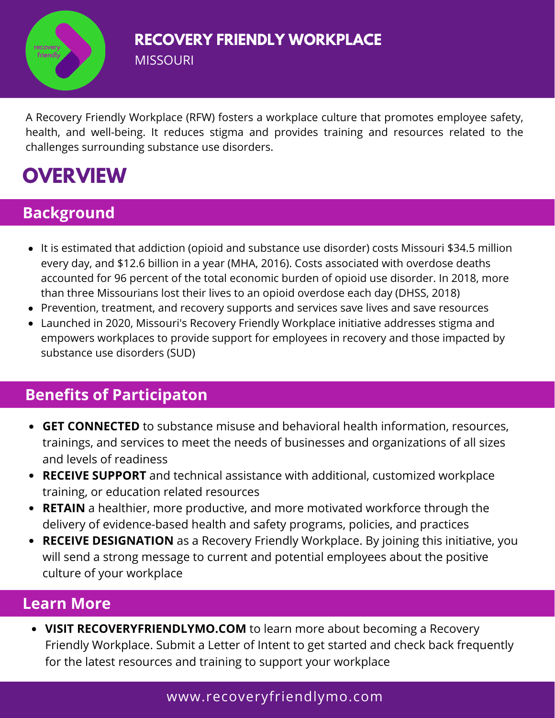

A Recovery Friendly Workplace (RFW) fosters a workplace culture that promotes employee safety, health, and well-being. It reduces stigma and provides training and resources related to the challenges surrounding substance use disorders.

# **OVERVIEW**

## **Background**

- It is estimated that addiction (opioid and substance use disorder) costs Missouri \$34.5 million every day, and \$12.6 billion in a year (MHA, 2016). Costs associated with overdose deaths accounted for 96 percent of the total economic burden of opioid use disorder. In 2018, more than three Missourians lost their lives to an opioid overdose each day (DHSS, 2018)
- Prevention, treatment, and recovery supports and services save lives and save resources
- Launched in 2020, Missouri's Recovery Friendly Workplace initiative addresses stigma and empowers workplaces to provide support for employees in recovery and those impacted by substance use disorders (SUD)

## **Benefits of Participaton**

- **GET CONNECTED** to substance misuse and behavioral health information, resources, trainings, and services to meet the needs of businesses and organizations of all sizes and levels of readiness
- **RECEIVE SUPPORT** and technical assistance with additional, customized workplace training, or education related resources
- **RETAIN** a healthier, more productive, and more motivated workforce through the delivery of evidence-based health and safety programs, policies, and practices
- **RECEIVE DESIGNATION** as a Recovery Friendly Workplace. By joining this initiative, you will send a strong message to current and potential employees about the positive culture of your workplace

### **Learn More**

**VISIT RECOVERYFRIENDLYMO.COM** to learn more about becoming a Recovery Friendly Workplace. Submit a Letter of Intent to get started and check back frequently for the latest resources and training to support your workplace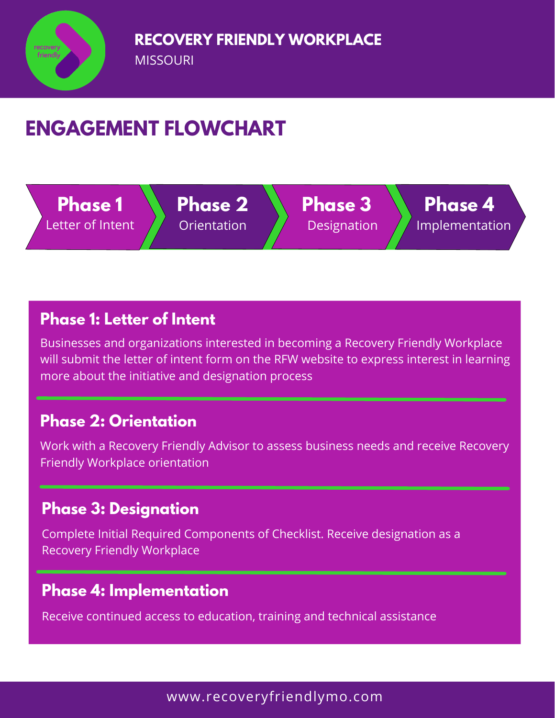

MISSOURI

# **ENGAGEMENT FLOWCHART**



**Phase 2** Orientation **Phase 3** Designation

**Phase 4** Implementation

### **Phase 1: Letter of Intent**

Businesses and organizations interested in becoming a Recovery Friendly Workplace will submit the letter of intent form on the RFW website to express interest in learning more about the initiative and designation process

## **Phase 2: Orientation**

Work with a Recovery Friendly Advisor to assess business needs and receive Recovery Friendly Workplace orientation

## **Phase 3: Designation**

Complete Initial Required Components of Checklist. Receive designation as a Recovery Friendly Workplace

## **Phase 4: Implementation**

Receive continued access to education, training and technical assistance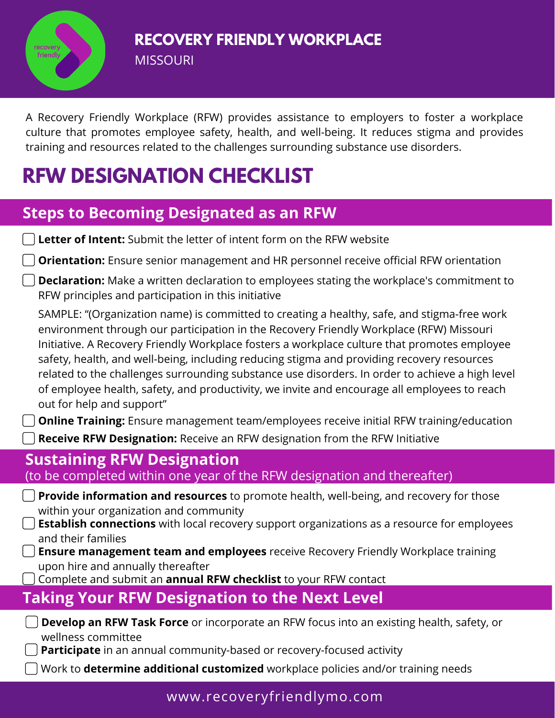

A Recovery Friendly Workplace (RFW) provides assistance to employers to foster a workplace culture that promotes employee safety, health, and well-being. It reduces stigma and provides training and resources related to the challenges surrounding substance use disorders.

## **RFW DESIGNATION CHECKLIST**

## **Steps to Becoming Designated as an RFW**

| <b>Letter of Intent:</b> Submit the letter of intent form on the RFW website                                                                                                                                                                                                                                                                                                                                                                                                                                                                                                                                         |
|----------------------------------------------------------------------------------------------------------------------------------------------------------------------------------------------------------------------------------------------------------------------------------------------------------------------------------------------------------------------------------------------------------------------------------------------------------------------------------------------------------------------------------------------------------------------------------------------------------------------|
| <b>Orientation:</b> Ensure senior management and HR personnel receive official RFW orientation                                                                                                                                                                                                                                                                                                                                                                                                                                                                                                                       |
| <b>Declaration:</b> Make a written declaration to employees stating the workplace's commitment to<br>RFW principles and participation in this initiative                                                                                                                                                                                                                                                                                                                                                                                                                                                             |
| SAMPLE: "(Organization name) is committed to creating a healthy, safe, and stigma-free work<br>environment through our participation in the Recovery Friendly Workplace (RFW) Missouri<br>Initiative. A Recovery Friendly Workplace fosters a workplace culture that promotes employee<br>safety, health, and well-being, including reducing stigma and providing recovery resources<br>related to the challenges surrounding substance use disorders. In order to achieve a high level<br>of employee health, safety, and productivity, we invite and encourage all employees to reach<br>out for help and support" |
| <b>Online Training:</b> Ensure management team/employees receive initial RFW training/education                                                                                                                                                                                                                                                                                                                                                                                                                                                                                                                      |
| <b>Receive RFW Designation:</b> Receive an RFW designation from the RFW Initiative                                                                                                                                                                                                                                                                                                                                                                                                                                                                                                                                   |
| <b>Sustaining RFW Designation</b><br>(to be completed within one year of the RFW designation and thereafter)                                                                                                                                                                                                                                                                                                                                                                                                                                                                                                         |
| <b>Provide information and resources</b> to promote health, well-being, and recovery for those<br>within your organization and community<br><b>Establish connections</b> with local recovery support organizations as a resource for employees<br>and their families<br><b>Ensure management team and employees</b> receive Recovery Friendly Workplace training<br>upon hire and annually thereafter<br>Complete and submit an annual RFW checklist to your RFW contact                                                                                                                                             |
| <b>Taking Your RFW Designation to the Next Level</b>                                                                                                                                                                                                                                                                                                                                                                                                                                                                                                                                                                 |
| Develop an RFW Task Force or incorporate an RFW focus into an existing health, safety, or<br>wellness committee<br>Participate in an annual community-based or recovery-focused activity<br>Work to determine additional customized workplace policies and/or training needs                                                                                                                                                                                                                                                                                                                                         |
|                                                                                                                                                                                                                                                                                                                                                                                                                                                                                                                                                                                                                      |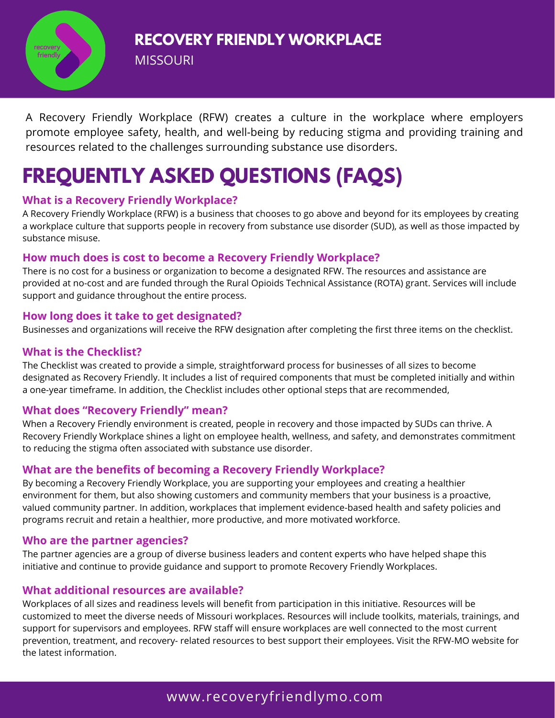

A Recovery Friendly Workplace (RFW) creates a culture in the workplace where employers promote employee safety, health, and well-being by reducing stigma and providing training and resources related to the challenges surrounding substance use disorders.

# **FREQUENTLY ASKED QUESTIONS (FAQS)**

#### **What is a Recovery Friendly Workplace?**

A Recovery Friendly Workplace (RFW) is a business that chooses to go above and beyond for its employees by creating a workplace culture that supports people in recovery from substance use disorder (SUD), as well as those impacted by substance misuse.

#### **How much does is cost to become a Recovery Friendly Workplace?**

There is no cost for a business or organization to become a designated RFW. The resources and assistance are provided at no-cost and are funded through the Rural Opioids Technical Assistance (ROTA) grant. Services will include support and guidance throughout the entire process.

#### **How long does it take to get designated?**

Businesses and organizations will receive the RFW designation after completing the first three items on the checklist.

#### **What is the Checklist?**

The Checklist was created to provide a simple, straightforward process for businesses of all sizes to become designated as Recovery Friendly. It includes a list of required components that must be completed initially and within a one-year timeframe. In addition, the Checklist includes other optional steps that are recommended,

#### **What does "Recovery Friendly" mean?**

When a Recovery Friendly environment is created, people in recovery and those impacted by SUDs can thrive. A Recovery Friendly Workplace shines a light on employee health, wellness, and safety, and demonstrates commitment to reducing the stigma often associated with substance use disorder.

#### **What are the benefits of becoming a Recovery Friendly Workplace?**

By becoming a Recovery Friendly Workplace, you are supporting your employees and creating a healthier environment for them, but also showing customers and community members that your business is a proactive, valued community partner. In addition, workplaces that implement evidence-based health and safety policies and programs recruit and retain a healthier, more productive, and more motivated workforce.

#### **Who are the partner agencies?**

The partner agencies are a group of diverse business leaders and content experts who have helped shape this initiative and continue to provide guidance and support to promote Recovery Friendly Workplaces.

#### **What additional resources are available?**

Workplaces of all sizes and readiness levels will benefit from participation in this initiative. Resources will be customized to meet the diverse needs of Missouri workplaces. Resources will include toolkits, materials, trainings, and support for supervisors and employees. RFW staff will ensure workplaces are well connected to the most current prevention, treatment, and recovery- related resources to best support their employees. Visit the RFW-MO website for the latest information.